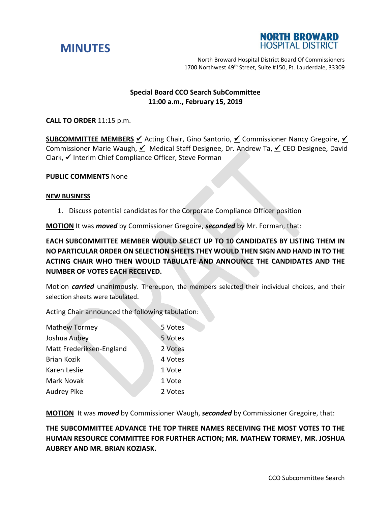



North Broward Hospital District Board Of Commissioners 1700 Northwest 49<sup>th</sup> Street, Suite #150, Ft. Lauderdale, 33309

## **Special Board CCO Search SubCommittee 11:00 a.m., February 15, 2019**

## **CALL TO ORDER** 11:15 p.m.

**SUBCOMMITTEE MEMBERS** ∕ Acting Chair, Gino Santorio, ∕ Commissioner Nancy Gregoire, ∕ Commissioner Marie Waugh,  $\leq$  Medical Staff Designee, Dr. Andrew Ta,  $\leq$  CEO Designee, David Clark, ∕Interim Chief Compliance Officer, Steve Forman

## **PUBLIC COMMENTS** None

## **NEW BUSINESS**

1. Discuss potential candidates for the Corporate Compliance Officer position

**MOTION** It was *moved* by Commissioner Gregoire, *seconded* by Mr. Forman, that:

**EACH SUBCOMMITTEE MEMBER WOULD SELECT UP TO 10 CANDIDATES BY LISTING THEM IN NO PARTICULAR ORDER ON SELECTION SHEETS THEY WOULD THEN SIGN AND HAND IN TO THE ACTING CHAIR WHO THEN WOULD TABULATE AND ANNOUNCE THE CANDIDATES AND THE NUMBER OF VOTES EACH RECEIVED.**

Motion *carried* unanimously. Thereupon, the members selected their individual choices, and their selection sheets were tabulated.

Acting Chair announced the following tabulation:

| <b>Mathew Tormey</b>     | 5 Votes |
|--------------------------|---------|
| Joshua Aubey             | 5 Votes |
| Matt Frederiksen-England | 2 Votes |
| <b>Brian Kozik</b>       | 4 Votes |
| Karen Leslie             | 1 Vote  |
| <b>Mark Novak</b>        | 1 Vote  |
| <b>Audrey Pike</b>       | 2 Votes |

**MOTION** It was *moved* by Commissioner Waugh, *seconded* by Commissioner Gregoire, that:

**THE SUBCOMMITTEE ADVANCE THE TOP THREE NAMES RECEIVING THE MOST VOTES TO THE HUMAN RESOURCE COMMITTEE FOR FURTHER ACTION; MR. MATHEW TORMEY, MR. JOSHUA AUBREY AND MR. BRIAN KOZIASK.**